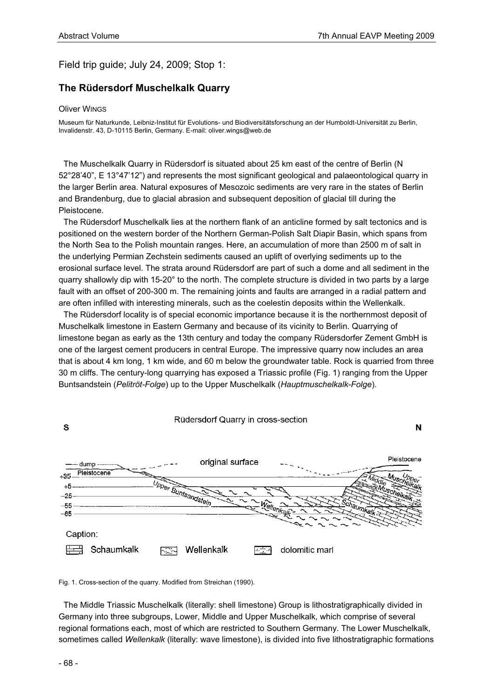## Field trip guide; July 24, 2009; Stop 1:

## **The Rüdersdorf Muschelkalk Quarry**

## Oliver WINGS

Museum für Naturkunde, Leibniz-Institut für Evolutions- und Biodiversitätsforschung an der Humboldt-Universität zu Berlin, Invalidenstr. 43, D-10115 Berlin, Germany. E-mail: oliver.wings@web.de

The Muschelkalk Quarry in Rüdersdorf is situated about 25 km east of the centre of Berlin (N 52°28'40", E 13°47'12") and represents the most significant geological and palaeontological quarry in the larger Berlin area. Natural exposures of Mesozoic sediments are very rare in the states of Berlin and Brandenburg, due to glacial abrasion and subsequent deposition of glacial till during the Pleistocene.

The Rüdersdorf Muschelkalk lies at the northern flank of an anticline formed by salt tectonics and is positioned on the western border of the Northern German-Polish Salt Diapir Basin, which spans from the North Sea to the Polish mountain ranges. Here, an accumulation of more than 2500 m of salt in the underlying Permian Zechstein sediments caused an uplift of overlying sediments up to the erosional surface level. The strata around Rüdersdorf are part of such a dome and all sediment in the quarry shallowly dip with 15-20° to the north. The complete structure is divided in two parts by a large fault with an offset of 200-300 m. The remaining joints and faults are arranged in a radial pattern and are often infilled with interesting minerals, such as the coelestin deposits within the Wellenkalk.

The Rüdersdorf locality is of special economic importance because it is the northernmost deposit of Muschelkalk limestone in Eastern Germany and because of its vicinity to Berlin. Quarrying of limestone began as early as the 13th century and today the company Rüdersdorfer Zement GmbH is one of the largest cement producers in central Europe. The impressive quarry now includes an area that is about 4 km long, 1 km wide, and 60 m below the groundwater table. Rock is quarried from three 30 m cliffs. The century-long quarrying has exposed a Triassic profile (Fig. 1) ranging from the Upper Buntsandstein (*Pelitröt-Folge*) up to the Upper Muschelkalk (*Hauptmuschelkalk-Folge*).



Fig. 1. Cross-section of the quarry. Modified from Streichan (1990).

The Middle Triassic Muschelkalk (literally: shell limestone) Group is lithostratigraphically divided in Germany into three subgroups, Lower, Middle and Upper Muschelkalk, which comprise of several regional formations each, most of which are restricted to Southern Germany. The Lower Muschelkalk, sometimes called *Wellenkalk* (literally: wave limestone), is divided into five lithostratigraphic formations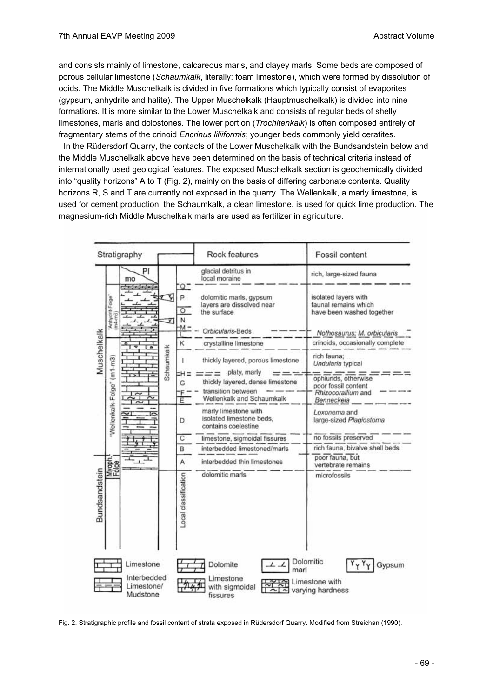and consists mainly of limestone, calcareous marls, and clayey marls. Some beds are composed of porous cellular limestone (*Schaumkalk*, literally: foam limestone), which were formed by dissolution of ooids. The Middle Muschelkalk is divided in five formations which typically consist of evaporites (gypsum, anhydrite and halite). The Upper Muschelkalk (Hauptmuschelkalk) is divided into nine formations. It is more similar to the Lower Muschelkalk and consists of regular beds of shelly limestones, marls and dolostones. The lower portion (*Trochitenkalk*) is often composed entirely of fragmentary stems of the crinoid *Encrinus liliiformis*; younger beds commonly yield ceratites.

In the Rüdersdorf Quarry, the contacts of the Lower Muschelkalk with the Bundsandstein below and the Middle Muschelkalk above have been determined on the basis of technical criteria instead of internationally used geological features. The exposed Muschelkalk section is geochemically divided into "quality horizons" A to T (Fig. 2), mainly on the basis of differing carbonate contents. Quality horizons R, S and T are currently not exposed in the quarry. The Wellenkalk, a marly limestone, is used for cement production, the Schaumkalk, a clean limestone, is used for quick lime production. The magnesium-rich Middle Muschelkalk marls are used as fertilizer in agriculture.

| rich, large-sized fauna                                                                                             |
|---------------------------------------------------------------------------------------------------------------------|
|                                                                                                                     |
| isolated layers with<br>faunal remains which<br>have been washed together                                           |
| Nothosaurus; M. orbicularis                                                                                         |
| crinoids, occasionally complete                                                                                     |
| rich fauna;<br>thickly layered, porous limestone<br>Undularia typical                                               |
| ophiurids, otherwise<br>thickly layered, dense limestone<br>poor fossil content<br>Rhizocorallium and<br>Benneckeia |
| Loxonema and<br>large-sized Plagiostoma                                                                             |
| no fossils preserved                                                                                                |
| rich fauna, bivalve shell beds                                                                                      |
| poor fauna, but<br>vertebrate remains                                                                               |
| microfossils                                                                                                        |
| Dolomitic                                                                                                           |

Fig. 2. Stratigraphic profile and fossil content of strata exposed in Rüdersdorf Quarry. Modified from Streichan (1990).